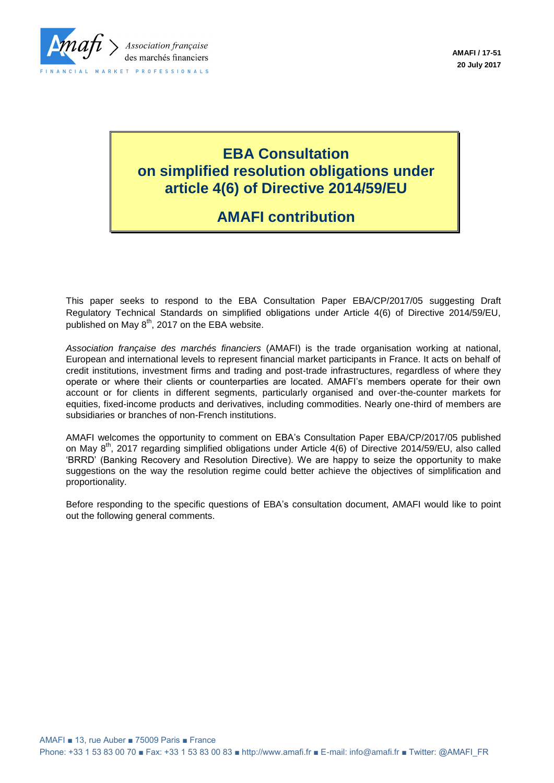

# **EBA Consultation on simplified resolution obligations under article 4(6) of Directive 2014/59/EU**

# **AMAFI contribution**

This paper seeks to respond to the EBA Consultation Paper EBA/CP/2017/05 suggesting Draft Regulatory Technical Standards on simplified obligations under Article 4(6) of Directive 2014/59/EU, published on May  $8<sup>th</sup>$ , 2017 on the EBA website.

*Association française des marchés financiers* (AMAFI) is the trade organisation working at national, European and international levels to represent financial market participants in France. It acts on behalf of credit institutions, investment firms and trading and post-trade infrastructures, regardless of where they operate or where their clients or counterparties are located. AMAFI's members operate for their own account or for clients in different segments, particularly organised and over-the-counter markets for equities, fixed-income products and derivatives, including commodities. Nearly one-third of members are subsidiaries or branches of non-French institutions.

AMAFI welcomes the opportunity to comment on EBA's Consultation Paper EBA/CP/2017/05 published on May 8<sup>th</sup>, 2017 regarding simplified obligations under Article 4(6) of Directive 2014/59/EU, also called 'BRRD' (Banking Recovery and Resolution Directive). We are happy to seize the opportunity to make suggestions on the way the resolution regime could better achieve the objectives of simplification and proportionality.

Before responding to the specific questions of EBA's consultation document, AMAFI would like to point out the following general comments.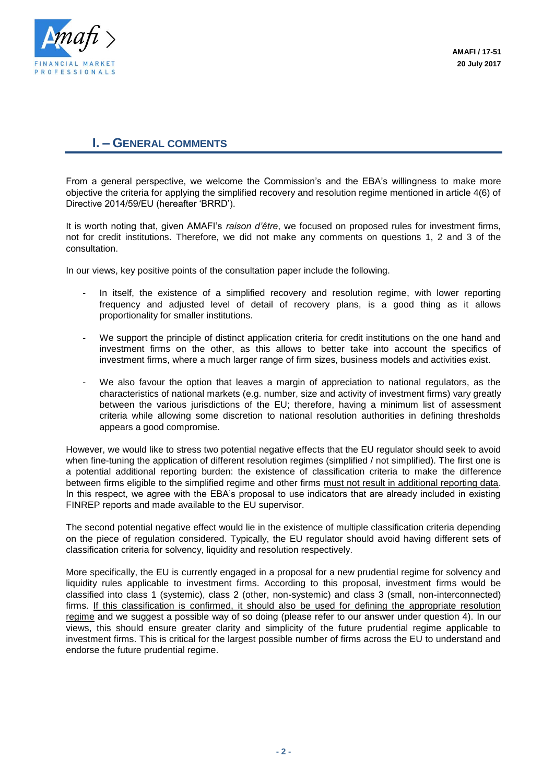

# **I. – GENERAL COMMENTS**

From a general perspective, we welcome the Commission's and the EBA's willingness to make more objective the criteria for applying the simplified recovery and resolution regime mentioned in article 4(6) of Directive 2014/59/EU (hereafter 'BRRD').

It is worth noting that, given AMAFI's *raison d'être*, we focused on proposed rules for investment firms, not for credit institutions. Therefore, we did not make any comments on questions 1, 2 and 3 of the consultation.

In our views, key positive points of the consultation paper include the following.

- In itself, the existence of a simplified recovery and resolution regime, with lower reporting frequency and adjusted level of detail of recovery plans, is a good thing as it allows proportionality for smaller institutions.
- We support the principle of distinct application criteria for credit institutions on the one hand and investment firms on the other, as this allows to better take into account the specifics of investment firms, where a much larger range of firm sizes, business models and activities exist.
- We also favour the option that leaves a margin of appreciation to national regulators, as the characteristics of national markets (e.g. number, size and activity of investment firms) vary greatly between the various jurisdictions of the EU; therefore, having a minimum list of assessment criteria while allowing some discretion to national resolution authorities in defining thresholds appears a good compromise.

However, we would like to stress two potential negative effects that the EU regulator should seek to avoid when fine-tuning the application of different resolution regimes (simplified / not simplified). The first one is a potential additional reporting burden: the existence of classification criteria to make the difference between firms eligible to the simplified regime and other firms must not result in additional reporting data. In this respect, we agree with the EBA's proposal to use indicators that are already included in existing FINREP reports and made available to the EU supervisor.

The second potential negative effect would lie in the existence of multiple classification criteria depending on the piece of regulation considered. Typically, the EU regulator should avoid having different sets of classification criteria for solvency, liquidity and resolution respectively.

More specifically, the EU is currently engaged in a proposal for a new prudential regime for solvency and liquidity rules applicable to investment firms. According to this proposal, investment firms would be classified into class 1 (systemic), class 2 (other, non-systemic) and class 3 (small, non-interconnected) firms. If this classification is confirmed, it should also be used for defining the appropriate resolution regime and we suggest a possible way of so doing (please refer to our answer under question 4). In our views, this should ensure greater clarity and simplicity of the future prudential regime applicable to investment firms. This is critical for the largest possible number of firms across the EU to understand and endorse the future prudential regime.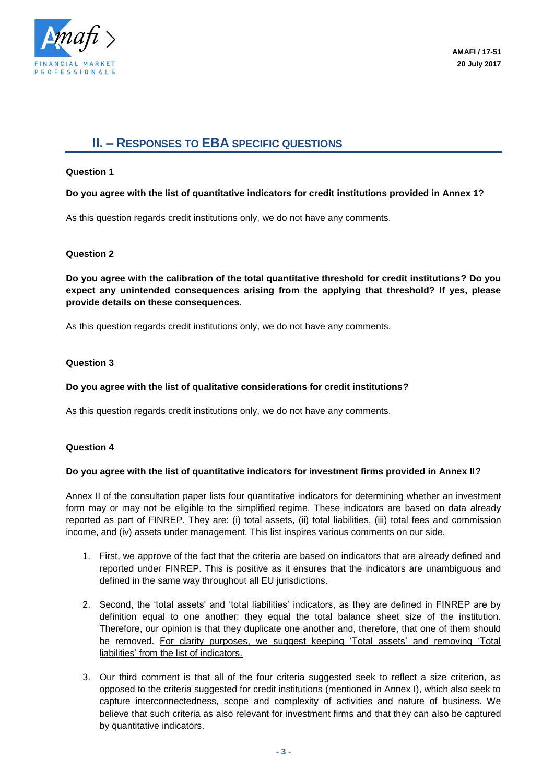

# **II. – RESPONSES TO EBA SPECIFIC QUESTIONS**

# **Question 1**

# **Do you agree with the list of quantitative indicators for credit institutions provided in Annex 1?**

As this question regards credit institutions only, we do not have any comments.

# **Question 2**

**Do you agree with the calibration of the total quantitative threshold for credit institutions? Do you expect any unintended consequences arising from the applying that threshold? If yes, please provide details on these consequences.** 

As this question regards credit institutions only, we do not have any comments.

#### **Question 3**

# **Do you agree with the list of qualitative considerations for credit institutions?**

As this question regards credit institutions only, we do not have any comments.

# **Question 4**

# **Do you agree with the list of quantitative indicators for investment firms provided in Annex II?**

Annex II of the consultation paper lists four quantitative indicators for determining whether an investment form may or may not be eligible to the simplified regime. These indicators are based on data already reported as part of FINREP. They are: (i) total assets, (ii) total liabilities, (iii) total fees and commission income, and (iv) assets under management. This list inspires various comments on our side.

- 1. First, we approve of the fact that the criteria are based on indicators that are already defined and reported under FINREP. This is positive as it ensures that the indicators are unambiguous and defined in the same way throughout all EU jurisdictions.
- 2. Second, the 'total assets' and 'total liabilities' indicators, as they are defined in FINREP are by definition equal to one another: they equal the total balance sheet size of the institution. Therefore, our opinion is that they duplicate one another and, therefore, that one of them should be removed. For clarity purposes, we suggest keeping 'Total assets' and removing 'Total liabilities' from the list of indicators.
- 3. Our third comment is that all of the four criteria suggested seek to reflect a size criterion, as opposed to the criteria suggested for credit institutions (mentioned in Annex I), which also seek to capture interconnectedness, scope and complexity of activities and nature of business. We believe that such criteria as also relevant for investment firms and that they can also be captured by quantitative indicators.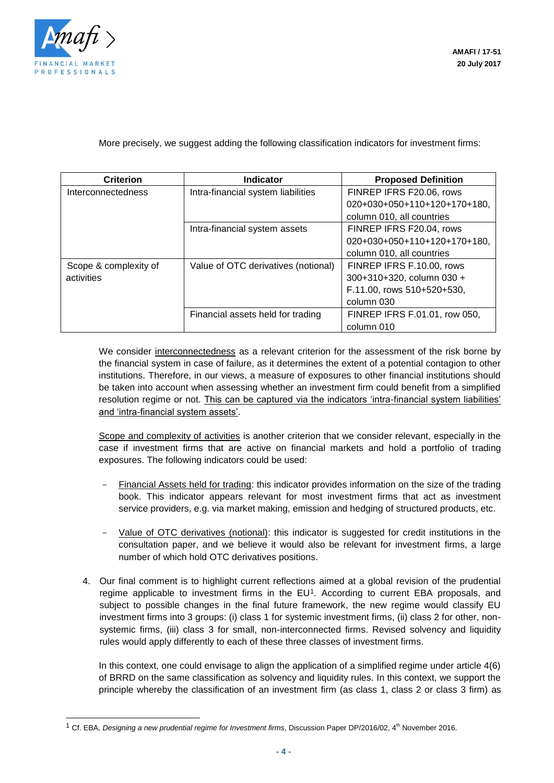

l

More precisely, we suggest adding the following classification indicators for investment firms:

| <b>Criterion</b>                    | <b>Indicator</b>                    | <b>Proposed Definition</b>    |
|-------------------------------------|-------------------------------------|-------------------------------|
| Interconnectedness                  | Intra-financial system liabilities  | FINREP IFRS F20.06, rows      |
|                                     |                                     | 020+030+050+110+120+170+180,  |
|                                     |                                     | column 010, all countries     |
|                                     | Intra-financial system assets       | FINREP IFRS F20.04, rows      |
|                                     |                                     | 020+030+050+110+120+170+180,  |
|                                     |                                     | column 010, all countries     |
| Scope & complexity of<br>activities | Value of OTC derivatives (notional) | FINREP IFRS F.10.00, rows     |
|                                     |                                     | 300+310+320, column 030 +     |
|                                     |                                     | F.11.00, rows 510+520+530,    |
|                                     |                                     | column 030                    |
|                                     | Financial assets held for trading   | FINREP IFRS F.01.01, row 050, |
|                                     |                                     | column 010                    |

We consider interconnectedness as a relevant criterion for the assessment of the risk borne by the financial system in case of failure, as it determines the extent of a potential contagion to other institutions. Therefore, in our views, a measure of exposures to other financial institutions should be taken into account when assessing whether an investment firm could benefit from a simplified resolution regime or not. This can be captured via the indicators 'intra-financial system liabilities' and 'intra-financial system assets'.

Scope and complexity of activities is another criterion that we consider relevant, especially in the case if investment firms that are active on financial markets and hold a portfolio of trading exposures. The following indicators could be used:

- Financial Assets held for trading: this indicator provides information on the size of the trading book. This indicator appears relevant for most investment firms that act as investment service providers, e.g. via market making, emission and hedging of structured products, etc.
- Value of OTC derivatives (notional): this indicator is suggested for credit institutions in the consultation paper, and we believe it would also be relevant for investment firms, a large number of which hold OTC derivatives positions.
- 4. Our final comment is to highlight current reflections aimed at a global revision of the prudential regime applicable to investment firms in the EU<sup>1</sup>. According to current EBA proposals, and subject to possible changes in the final future framework, the new regime would classify EU investment firms into 3 groups: (i) class 1 for systemic investment firms, (ii) class 2 for other, nonsystemic firms, (iii) class 3 for small, non-interconnected firms. Revised solvency and liquidity rules would apply differently to each of these three classes of investment firms.

In this context, one could envisage to align the application of a simplified regime under article 4(6) of BRRD on the same classification as solvency and liquidity rules. In this context, we support the principle whereby the classification of an investment firm (as class 1, class 2 or class 3 firm) as

<sup>1</sup> Cf. EBA, *Designing a new prudential regime for Investment firms*, Discussion Paper DP/2016/02, 4th November 2016.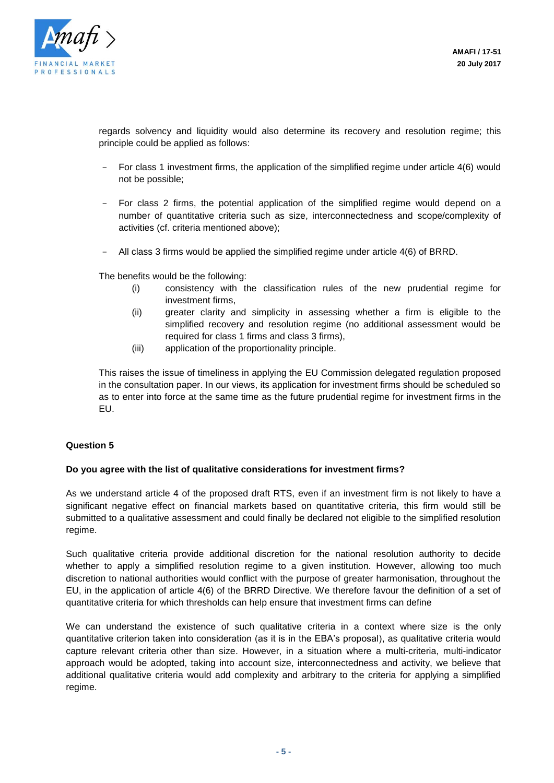

regards solvency and liquidity would also determine its recovery and resolution regime; this principle could be applied as follows:

- For class 1 investment firms, the application of the simplified regime under article 4(6) would not be possible;
- For class 2 firms, the potential application of the simplified regime would depend on a number of quantitative criteria such as size, interconnectedness and scope/complexity of activities (cf. criteria mentioned above);
- All class 3 firms would be applied the simplified regime under article 4(6) of BRRD.

The benefits would be the following:

- (i) consistency with the classification rules of the new prudential regime for investment firms,
- (ii) greater clarity and simplicity in assessing whether a firm is eligible to the simplified recovery and resolution regime (no additional assessment would be required for class 1 firms and class 3 firms),
- (iii) application of the proportionality principle.

This raises the issue of timeliness in applying the EU Commission delegated regulation proposed in the consultation paper. In our views, its application for investment firms should be scheduled so as to enter into force at the same time as the future prudential regime for investment firms in the EU.

# **Question 5**

#### **Do you agree with the list of qualitative considerations for investment firms?**

As we understand article 4 of the proposed draft RTS, even if an investment firm is not likely to have a significant negative effect on financial markets based on quantitative criteria, this firm would still be submitted to a qualitative assessment and could finally be declared not eligible to the simplified resolution regime.

Such qualitative criteria provide additional discretion for the national resolution authority to decide whether to apply a simplified resolution regime to a given institution. However, allowing too much discretion to national authorities would conflict with the purpose of greater harmonisation, throughout the EU, in the application of article 4(6) of the BRRD Directive. We therefore favour the definition of a set of quantitative criteria for which thresholds can help ensure that investment firms can define

We can understand the existence of such qualitative criteria in a context where size is the only quantitative criterion taken into consideration (as it is in the EBA's proposal), as qualitative criteria would capture relevant criteria other than size. However, in a situation where a multi-criteria, multi-indicator approach would be adopted, taking into account size, interconnectedness and activity, we believe that additional qualitative criteria would add complexity and arbitrary to the criteria for applying a simplified regime.